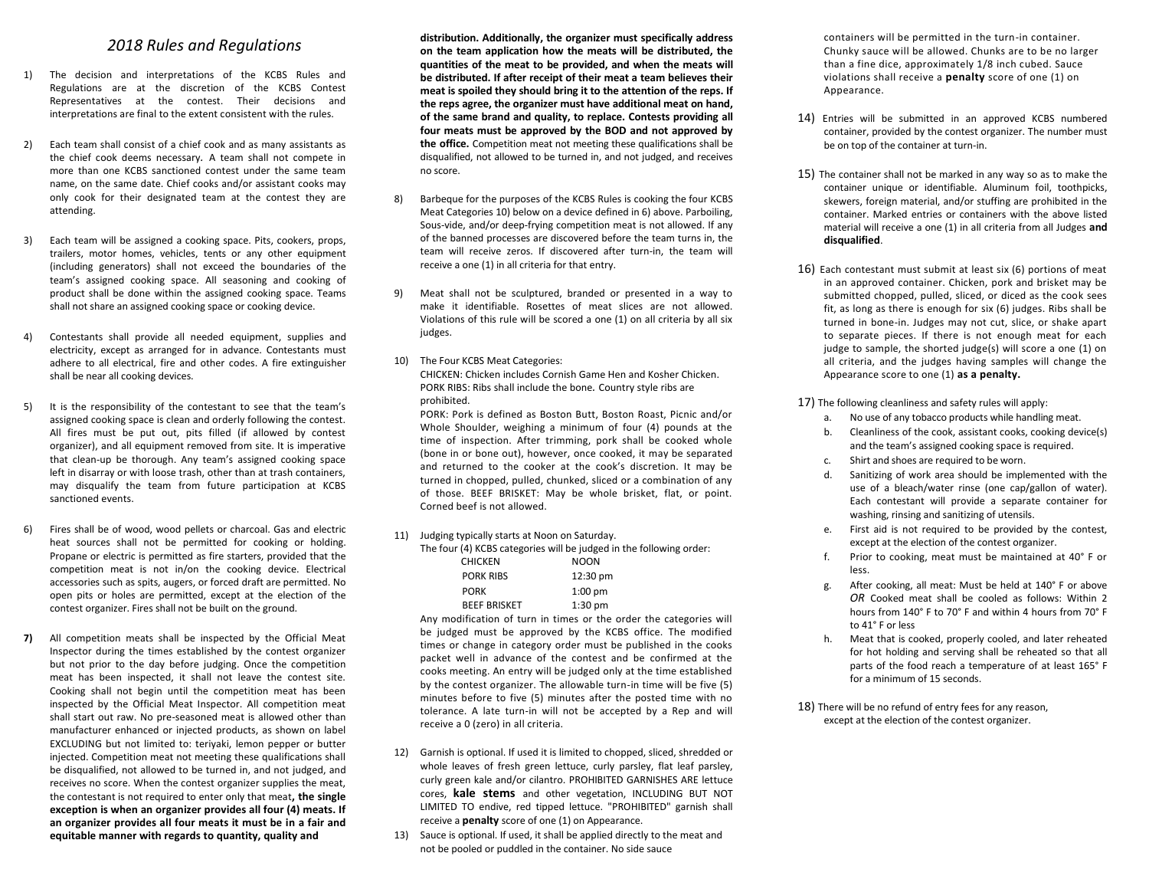### *2018 Rules and Regulations*

- 1) The decision and interpretations of the KCBS Rules and Regulations are at the discretion of the KCBS Contest Representatives at the contest. Their decisions and interpretations are final to the extent consistent with the rules.
- 2) Each team shall consist of a chief cook and as many assistants as the chief cook deems necessary*.* A team shall not compete in more than one KCBS sanctioned contest under the same team name, on the same date. Chief cooks and/or assistant cooks may only cook for their designated team at the contest they are attending.
- 3) Each team will be assigned a cooking space. Pits, cookers, props, trailers, motor homes, vehicles, tents or any other equipment (including generators) shall not exceed the boundaries of the team's assigned cooking space. All seasoning and cooking of product shall be done within the assigned cooking space. Teams shall not share an assigned cooking space or cooking device.
- 4) Contestants shall provide all needed equipment, supplies and electricity, except as arranged for in advance. Contestants must adhere to all electrical, fire and other codes. A fire extinguisher shall be near all cooking devices.
- 5) It is the responsibility of the contestant to see that the team's assigned cooking space is clean and orderly following the contest. All fires must be put out, pits filled (if allowed by contest organizer), and all equipment removed from site. It is imperative that clean-up be thorough. Any team's assigned cooking space left in disarray or with loose trash, other than at trash containers, may disqualify the team from future participation at KCBS sanctioned events.
- 6) Fires shall be of wood, wood pellets or charcoal. Gas and electric heat sources shall not be permitted for cooking or holding. Propane or electric is permitted as fire starters, provided that the competition meat is not in/on the cooking device. Electrical accessories such as spits, augers, or forced draft are permitted. No open pits or holes are permitted, except at the election of the contest organizer. Fires shall not be built on the ground.
- **7)** All competition meats shall be inspected by the Official Meat Inspector during the times established by the contest organizer but not prior to the day before judging. Once the competition meat has been inspected, it shall not leave the contest site. Cooking shall not begin until the competition meat has been inspected by the Official Meat Inspector. All competition meat shall start out raw. No pre-seasoned meat is allowed other than manufacturer enhanced or injected products, as shown on label EXCLUDING but not limited to: teriyaki, lemon pepper or butter injected. Competition meat not meeting these qualifications shall be disqualified, not allowed to be turned in, and not judged, and receives no score. When the contest organizer supplies the meat, the contestant is not required to enter only that meat**, the single exception is when an organizer provides all four (4) meats. If an organizer provides all four meats it must be in a fair and equitable manner with regards to quantity, quality and**

**distribution. Additionally, the organizer must specifically address on the team application how the meats will be distributed, the quantities of the meat to be provided, and when the meats will be distributed. If after receipt of their meat a team believes their meat is spoiled they should bring it to the attention of the reps. If the reps agree, the organizer must have additional meat on hand, of the same brand and quality, to replace. Contests providing all four meats must be approved by the BOD and not approved by the office.** Competition meat not meeting these qualifications shall be disqualified, not allowed to be turned in, and not judged, and receives no score.

- 8) Barbeque for the purposes of the KCBS Rules is cooking the four KCBS Meat Categories 10) below on a device defined in 6) above. Parboiling, Sous-vide, and/or deep-frying competition meat is not allowed. If any of the banned processes are discovered before the team turns in, the team will receive zeros. If discovered after turn-in, the team will receive a one (1) in all criteria for that entry.
- 9) Meat shall not be sculptured, branded or presented in a way to make it identifiable. Rosettes of meat slices are not allowed. Violations of this rule will be scored a one (1) on all criteria by all six judges.
- 10) The Four KCBS Meat Categories: CHICKEN: Chicken includes Cornish Game Hen and Kosher Chicken. PORK RIBS: Ribs shall include the bone*.* Country style ribs are prohibited.

PORK: Pork is defined as Boston Butt, Boston Roast, Picnic and/or Whole Shoulder, weighing a minimum of four (4) pounds at the time of inspection. After trimming, pork shall be cooked whole (bone in or bone out), however, once cooked, it may be separated and returned to the cooker at the cook's discretion. It may be turned in chopped, pulled, chunked, sliced or a combination of any of those. BEEF BRISKET: May be whole brisket, flat, or point. Corned beef is not allowed.

11) Judging typically starts at Noon on Saturday.

| The four (4) KCBS categories will be judged in the following order: |                    |
|---------------------------------------------------------------------|--------------------|
| <b>CHICKEN</b>                                                      | <b>NOON</b>        |
| <b>PORK RIBS</b>                                                    | $12:30 \text{ pm}$ |
| <b>PORK</b>                                                         | $1:00$ pm          |
| <b>BEEF BRISKET</b>                                                 | $1:30$ pm          |

Any modification of turn in times or the order the categories will be judged must be approved by the KCBS office. The modified times or change in category order must be published in the cooks packet well in advance of the contest and be confirmed at the cooks meeting. An entry will be judged only at the time established by the contest organizer. The allowable turn-in time will be five (5) minutes before to five (5) minutes after the posted time with no tolerance. A late turn-in will not be accepted by a Rep and will receive a 0 (zero) in all criteria.

- 12) Garnish is optional. If used it is limited to chopped, sliced, shredded or whole leaves of fresh green lettuce, curly parsley, flat leaf parsley, curly green kale and/or cilantro. PROHIBITED GARNISHES ARE lettuce cores, **kale stems** and other vegetation, INCLUDING BUT NOT LIMITED TO endive, red tipped lettuce. "PROHIBITED" garnish shall receive a **penalty** score of one (1) on Appearance.
- 13) Sauce is optional. If used, it shall be applied directly to the meat and not be pooled or puddled in the container. No side sauce

containers will be permitted in the turn-in container. Chunky sauce will be allowed. Chunks are to be no larger than a fine dice, approximately 1/8 inch cubed. Sauce violations shall receive a **penalty** score of one (1) on Appearance.

- 14) Entries will be submitted in an approved KCBS numbered container, provided by the contest organizer. The number must be on top of the container at turn-in.
- 15) The container shall not be marked in any way so as to make the container unique or identifiable. Aluminum foil, toothpicks, skewers, foreign material, and/or stuffing are prohibited in the container. Marked entries or containers with the above listed material will receive a one (1) in all criteria from all Judges **and disqualified**.
- 16) Each contestant must submit at least six (6) portions of meat in an approved container. Chicken, pork and brisket may be submitted chopped, pulled, sliced, or diced as the cook sees fit, as long as there is enough for six (6) judges. Ribs shall be turned in bone-in. Judges may not cut, slice, or shake apart to separate pieces. If there is not enough meat for each judge to sample, the shorted judge(s) will score a one (1) on all criteria, and the judges having samples will change the Appearance score to one (1) **as a penalty.**

17) The following cleanliness and safety rules will apply:

- a. No use of any tobacco products while handling meat.
- b. Cleanliness of the cook, assistant cooks, cooking device(s) and the team's assigned cooking space is required.
- c. Shirt and shoes are required to be worn.
- d. Sanitizing of work area should be implemented with the use of a bleach/water rinse (one cap/gallon of water). Each contestant will provide a separate container for washing, rinsing and sanitizing of utensils.
- e. First aid is not required to be provided by the contest, except at the election of the contest organizer.
- f. Prior to cooking, meat must be maintained at 40° F or less.
- g. After cooking, all meat: Must be held at 140° F or above *OR* Cooked meat shall be cooled as follows: Within 2 hours from 140° F to 70° F and within 4 hours from 70° F to 41° F or less
- h. Meat that is cooked, properly cooled, and later reheated for hot holding and serving shall be reheated so that all parts of the food reach a temperature of at least 165° F for a minimum of 15 seconds.

18) There will be no refund of entry fees for any reason, except at the election of the contest organizer.